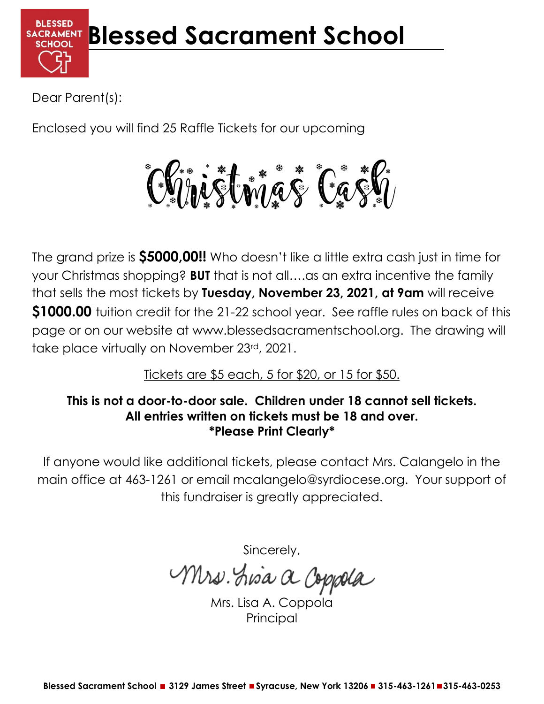

Dear Parent(s):

Enclosed you will find 25 Raffle Tickets for our upcoming

Christmas Cash

The grand prize is **\$5000,00!!** Who doesn't like a little extra cash just in time for your Christmas shopping? **BUT** that is not all….as an extra incentive the family that sells the most tickets by **Tuesday, November 23, 2021, at 9am** will receive **\$1000.00** tuition credit for the 21-22 school year. See raffle rules on back of this page or on our website at www.blessedsacramentschool.org. The drawing will take place virtually on November 23rd, 2021.

Tickets are \$5 each, 5 for \$20, or 15 for \$50.

## **This is not a door-to-door sale. Children under 18 cannot sell tickets. All entries written on tickets must be 18 and over. \*Please Print Clearly\***

If anyone would like additional tickets, please contact Mrs. Calangelo in the main office at 463-1261 or email mcalangelo@syrdiocese.org. Your support of this fundraiser is greatly appreciated.

Sincerely,

Mrs. Lisa a Coppola

Mrs. Lisa A. Coppold Principal